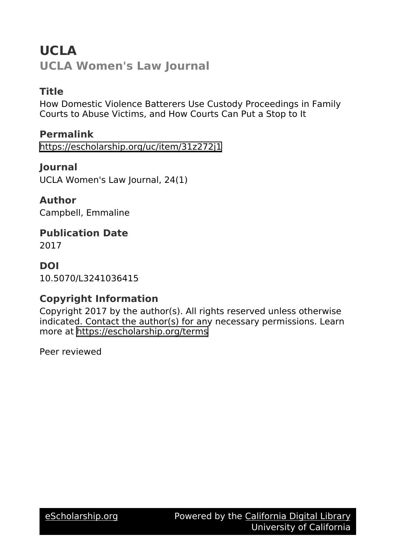# **UCLA UCLA Women's Law Journal**

### **Title**

How Domestic Violence Batterers Use Custody Proceedings in Family Courts to Abuse Victims, and How Courts Can Put a Stop to It

**Permalink** <https://escholarship.org/uc/item/31z272j1>

**Journal** UCLA Women's Law Journal, 24(1)

**Author** Campbell, Emmaline

**Publication Date** 2017

**DOI**

10.5070/L3241036415

## **Copyright Information**

Copyright 2017 by the author(s). All rights reserved unless otherwise indicated. Contact the author(s) for any necessary permissions. Learn more at <https://escholarship.org/terms>

Peer reviewed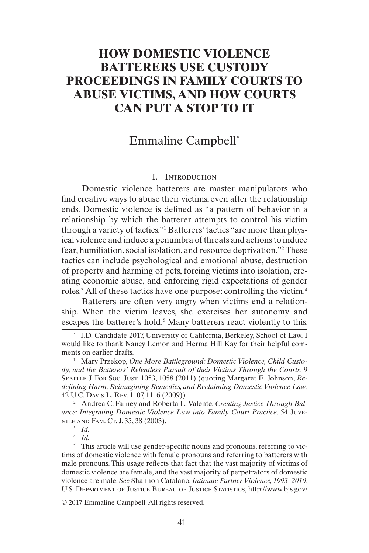### **HOW DOMESTIC VIOLENCE BATTERERS USE CUSTODY PROCEEDINGS IN FAMILY COURTS TO ABUSE VICTIMS, AND HOW COURTS CAN PUT A STOP TO IT**

### Emmaline Campbell\*

#### <span id="page-1-0"></span>I. Introduction

Domestic violence batterers are master manipulators who find creative ways to abuse their victims, even after the relationship ends. Domestic violence is defined as "a pattern of behavior in a relationship by which the batterer attempts to control his victim through a variety of tactics."1 Batterers' tactics "are more than physical violence and induce a penumbra of threats and actions to induce fear, humiliation, social isolation, and resource deprivation."2 These tactics can include psychological and emotional abuse, destruction of property and harming of pets, forcing victims into isolation, creating economic abuse, and enforcing rigid expectations of gender roles.<sup>3</sup> All of these tactics have one purpose: controlling the victim.<sup>4</sup>

Batterers are often very angry when victims end a relationship. When the victim leaves, she exercises her autonomy and escapes the batterer's hold.<sup>5</sup> Many batterers react violently to this.

\* J.D. Candidate 2017, University of California, Berkeley, School of Law. I would like to thank Nancy Lemon and Herma Hill Kay for their helpful comments on earlier drafts.

<sup>1</sup> Mary Przekop, One More Battleground: Domestic Violence, Child Custo*dy, and the Batterers' Relentless Pursuit of their Victims Through the Courts*, 9 Seattle J. For Soc. Just. 1053, 1058 (2011) (quoting Margaret E. Johnson, *Redefining Harm, Reimagining Remedies, and Reclaiming Domestic Violence Law*, 42 U.C. Davis L. Rev. 1107, 1116 (2009)).

<sup>2</sup> Andrea C. Farney and Roberta L. Valente, *Creating Justice Through Balance: Integrating Domestic Violence Law into Family Court Practice*, 54 Juvenile and Fam. Ct. J. 35, 38 (2003).

<sup>3</sup> *Id.*

<sup>4</sup> *Id.*

<sup>5</sup> This article will use gender-specific nouns and pronouns, referring to victims of domestic violence with female pronouns and referring to batterers with male pronouns. This usage reflects that fact that the vast majority of victims of domestic violence are female, and the vast majority of perpetrators of domestic violence are male. *See* Shannon Catalano, *Intimate Partner Violence, 1993–2010*, U.S. Department of Justice Bureau of Justice Statistics, http://www.bjs.gov/

#### © 2017 Emmaline Campbell. All rights reserved.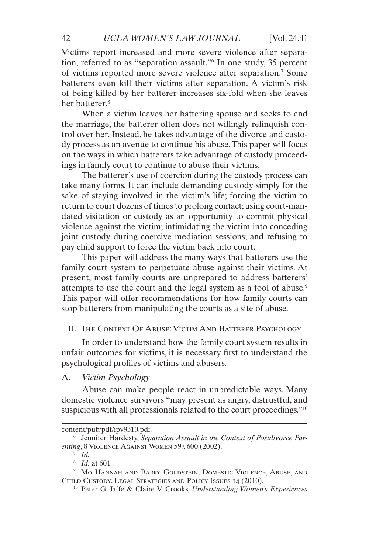Victims report increased and more severe violence after separation, referred to as "separation assault."6 In one study, 35 percent of victims reported more severe violence after separation.7 Some batterers even kill their victims after separation. A victim's risk of being killed by her batterer increases six-fold when she leaves her batterer<sup>8</sup>

When a victim leaves her battering spouse and seeks to end the marriage, the batterer often does not willingly relinquish control over her. Instead, he takes advantage of the divorce and custody process as an avenue to continue his abuse. This paper will focus on the ways in which batterers take advantage of custody proceedings in family court to continue to abuse their victims.

The batterer's use of coercion during the custody process can take many forms. It can include demanding custody simply for the sake of staying involved in the victim's life; forcing the victim to return to court dozens of times to prolong contact; using court-mandated visitation or custody as an opportunity to commit physical violence against the victim; intimidating the victim into conceding joint custody during coercive mediation sessions; and refusing to pay child support to force the victim back into court.

This paper will address the many ways that batterers use the family court system to perpetuate abuse against their victims. At present, most family courts are unprepared to address batterers' attempts to use the court and the legal system as a tool of abuse.<sup>9</sup> This paper will offer recommendations for how family courts can stop batterers from manipulating the courts as a site of abuse.

#### II. The Context Of Abuse: Victim And Batterer Psychology

In order to understand how the family court system results in unfair outcomes for victims, it is necessary first to understand the psychological profiles of victims and abusers.

A. *Victim Psychology*

Abuse can make people react in unpredictable ways. Many domestic violence survivors "may present as angry, distrustful, and suspicious with all professionals related to the court proceedings."10

content/pub/pdf/ipv9310.pdf.

<sup>6</sup> Jennifer Hardesty, *Separation Assault in the Context of Postdivorce Parenting*, 8 Violence Against Women 597, 600 (2002).

<sup>7</sup> *Id.*

<sup>8</sup> *Id.* at 601.

<sup>9</sup> Mo Hannah and Barry Goldstein, Domestic Violence, Abuse, and CHILD CUSTODY: LEGAL STRATEGIES AND POLICY ISSUES 14 (2010).

<sup>10</sup> Peter G. Jaffe & Claire V. Crooks, *Understanding Women's Experiences*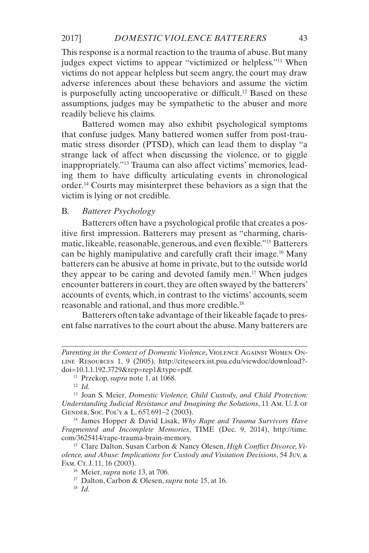This response is a normal reaction to the trauma of abuse. But many judges expect victims to appear "victimized or helpless."11 When victims do not appear helpless but seem angry, the court may draw adverse inferences about these behaviors and assume the victim is purposefully acting uncooperative or difficult.<sup>12</sup> Based on these assumptions, judges may be sympathetic to the abuser and more readily believe his claims.

Battered women may also exhibit psychological symptoms that confuse judges. Many battered women suffer from post-traumatic stress disorder (PTSD), which can lead them to display "a strange lack of affect when discussing the violence, or to giggle inappropriately."13 Trauma can also affect victims' memories, leading them to have difficulty articulating events in chronological order.14 Courts may misinterpret these behaviors as a sign that the victim is lying or not credible.

#### B. *Batterer Psychology*

Batterers often have a psychological profile that creates a positive first impression. Batterers may present as "charming, charismatic, likeable, reasonable, generous, and even flexible."15 Batterers can be highly manipulative and carefully craft their image.16 Many batterers can be abusive at home in private, but to the outside world they appear to be caring and devoted family men.17 When judges encounter batterers in court, they are often swayed by the batterers' accounts of events, which, in contrast to the victims' accounts, seem reasonable and rational, and thus more credible.18

Batterers often take advantage of their likeable façade to present false narratives to the court about the abuse. Many batterers are

<sup>14</sup> James Hopper & David Lisak, *Why Rape and Trauma Survivors Have Fragmented and Incomplete Memories*, TIME (Dec. 9, 2014), http://time. com/3625414/rape-trauma-brain-memory.

Parenting in the Context of Domestic Violence, VIOLENCE AGAINST WOMEN ONline Resources 1, 9 (2005), http://citeseerx.ist.psu.edu/viewdoc/download? doi=10.1.1.192.3729&rep=rep1&type=pdf.

<sup>11</sup> Przekop, *supra* note 1, at 1068.

<sup>12</sup> *Id.*

<sup>13</sup> Joan S. Meier, *Domestic Violence, Child Custody, and Child Protection: Understanding Judicial Resistance and Imagining the Solutions*, 11 Am. U. J. of Gender, Soc. Pol'y & L. 657, 691–2 (2003).

<sup>15</sup> Clare Dalton, Susan Carbon & Nancy Olesen, *High Conflict Divorce, Violence, and Abuse: Implications for Custody and Visitation Decisions*, 54 Juv. & Fam. Ct. J. 11, 16 (2003).

<sup>16</sup> Meier, *supra* note 13, at 706.

<sup>17</sup> Dalton, Carbon & Olesen, *supra* note 15, at 16.

<sup>18</sup> *Id.*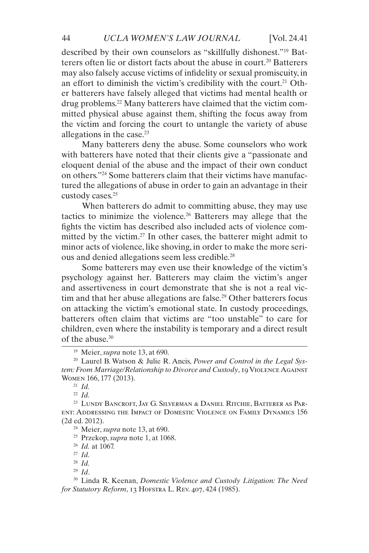described by their own counselors as "skillfully dishonest."19 Batterers often lie or distort facts about the abuse in court.<sup>20</sup> Batterers may also falsely accuse victims of infidelity or sexual promiscuity, in an effort to diminish the victim's credibility with the court.<sup>21</sup> Other batterers have falsely alleged that victims had mental health or drug problems.22 Many batterers have claimed that the victim committed physical abuse against them, shifting the focus away from the victim and forcing the court to untangle the variety of abuse allegations in the case.23

Many batterers deny the abuse. Some counselors who work with batterers have noted that their clients give a "passionate and eloquent denial of the abuse and the impact of their own conduct on others."24 Some batterers claim that their victims have manufactured the allegations of abuse in order to gain an advantage in their custody cases.25

When batterers do admit to committing abuse, they may use tactics to minimize the violence.26 Batterers may allege that the fights the victim has described also included acts of violence committed by the victim.<sup>27</sup> In other cases, the batterer might admit to minor acts of violence, like shoving, in order to make the more serious and denied allegations seem less credible.28

Some batterers may even use their knowledge of the victim's psychology against her. Batterers may claim the victim's anger and assertiveness in court demonstrate that she is not a real victim and that her abuse allegations are false.<sup>29</sup> Other batterers focus on attacking the victim's emotional state. In custody proceedings, batterers often claim that victims are "too unstable" to care for children, even where the instability is temporary and a direct result of the abuse  $30$ 

<sup>19</sup> Meier, *supra* note 13, at 690.

<sup>20</sup> Laurel B. Watson & Julie R. Ancis, *Power and Control in the Legal System: From Marriage/Relationship to Divorce and Custody*, 19 Violence Against Women 166, 177 (2013).

<sup>21</sup> *Id.*

<sup>22</sup> *Id.*

<sup>23</sup> Lundy Bancroft, Jay G. Silverman & Daniel Ritchie, Batterer as Parent: Addressing the Impact of Domestic Violence on Family Dynamics 156 (2d ed. 2012).

<sup>24</sup> Meier, *supra* note 13, at 690.

<sup>25</sup> Przekop, *supra* note 1, at 1068.

<sup>26</sup> *Id.* at 1067.

<sup>27</sup> *Id.*

<sup>28</sup> *Id.* <sup>29</sup> *Id*.

<sup>30</sup> Linda R. Keenan, *Domestic Violence and Custody Litigation: The Need for Statutory Reform*, 13 Hofstra L. Rev. 407, 424 (1985).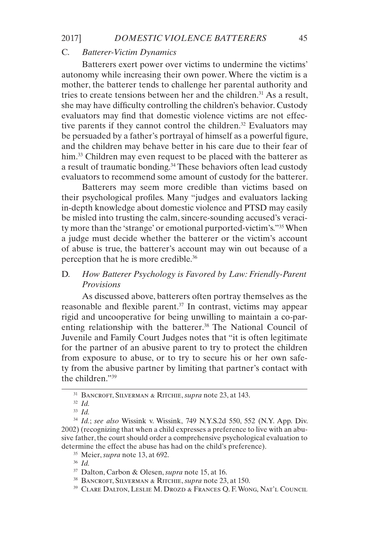#### C. *Batterer-Victim Dynamics*

Batterers exert power over victims to undermine the victims' autonomy while increasing their own power. Where the victim is a mother, the batterer tends to challenge her parental authority and tries to create tensions between her and the children.<sup>31</sup> As a result, she may have difficulty controlling the children's behavior. Custody evaluators may find that domestic violence victims are not effective parents if they cannot control the children.<sup>32</sup> Evaluators may be persuaded by a father's portrayal of himself as a powerful figure, and the children may behave better in his care due to their fear of him.<sup>33</sup> Children may even request to be placed with the batterer as a result of traumatic bonding.<sup>34</sup> These behaviors often lead custody evaluators to recommend some amount of custody for the batterer.

Batterers may seem more credible than victims based on their psychological profiles. Many "judges and evaluators lacking in-depth knowledge about domestic violence and PTSD may easily be misled into trusting the calm, sincere-sounding accused's veracity more than the 'strange' or emotional purported-victim's."35 When a judge must decide whether the batterer or the victim's account of abuse is true, the batterer's account may win out because of a perception that he is more credible.36

#### D. *How Batterer Psychology is Favored by Law: Friendly-Parent Provisions*

As discussed above, batterers often portray themselves as the reasonable and flexible parent. $37$  In contrast, victims may appear rigid and uncooperative for being unwilling to maintain a co-parenting relationship with the batterer.<sup>38</sup> The National Council of Juvenile and Family Court Judges notes that "it is often legitimate for the partner of an abusive parent to try to protect the children from exposure to abuse, or to try to secure his or her own safety from the abusive partner by limiting that partner's contact with the children."39

<sup>32</sup> *Id.*

<sup>33</sup> *Id.*

<sup>31</sup> Bancroft, Silverman & Ritchie, *supra* note 23, at 143.

<sup>34</sup> *Id.*; *see also* Wissink v. Wissink, 749 N.Y.S.2d 550, 552 (N.Y. App. Div. 2002) (recognizing that when a child expresses a preference to live with an abusive father, the court should order a comprehensive psychological evaluation to determine the effect the abuse has had on the child's preference).

<sup>35</sup> Meier, *supra* note 13, at 692.

<sup>37</sup> Dalton, Carbon & Olesen, *supra* note 15, at 16.

<sup>38</sup> Bancroft, Silverman & Ritchie, *supra* note 23, at 150.

<sup>39</sup> Clare Dalton, Leslie M. Drozd & Frances Q. F. Wong, Nat'l Council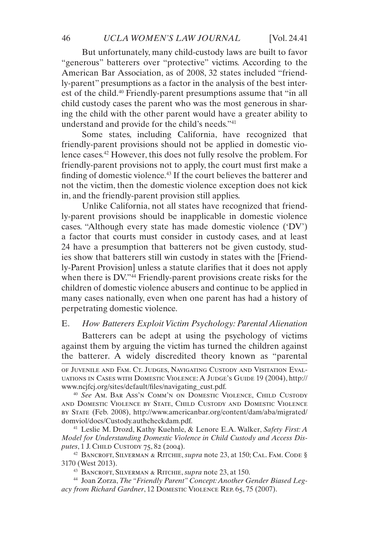But unfortunately, many child-custody laws are built to favor "generous" batterers over "protective" victims. According to the American Bar Association, as of 2008, 32 states included "friendly-parent" presumptions as a factor in the analysis of the best interest of the child.<sup>40</sup> Friendly-parent presumptions assume that "in all child custody cases the parent who was the most generous in sharing the child with the other parent would have a greater ability to understand and provide for the child's needs."41

Some states, including California, have recognized that friendly-parent provisions should not be applied in domestic violence cases.42 However, this does not fully resolve the problem. For friendly-parent provisions not to apply, the court must first make a finding of domestic violence.<sup>43</sup> If the court believes the batterer and not the victim, then the domestic violence exception does not kick in, and the friendly-parent provision still applies.

Unlike California, not all states have recognized that friendly-parent provisions should be inapplicable in domestic violence cases. "Although every state has made domestic violence ('DV') a factor that courts must consider in custody cases, and at least 24 have a presumption that batterers not be given custody, studies show that batterers still win custody in states with the [Friendly-Parent Provision] unless a statute clarifies that it does not apply when there is DV."<sup>44</sup> Friendly-parent provisions create risks for the children of domestic violence abusers and continue to be applied in many cases nationally, even when one parent has had a history of perpetrating domestic violence.

#### E. *How Batterers Exploit Victim Psychology: Parental Alienation*

Batterers can be adept at using the psychology of victims against them by arguing the victim has turned the children against the batterer. A widely discredited theory known as "parental

of Juvenile and Fam. Ct. Judges, Navigating Custody and Visitation Evaluations in Cases with Domestic Violence: A Judge's Guide 19 (2004), http:// www.ncjfcj.org/sites/default/files/navigating\_cust.pdf.

<sup>40</sup> *See* Am. Bar Ass'n Comm'n on Domestic Violence, Child Custody and Domestic Violence by State, Child Custody and Domestic Violence by State (Feb. 2008), http://www.americanbar.org/content/dam/aba/migrated/ domviol/docs/Custody.authcheckdam.pdf.

<sup>41</sup> Leslie M. Drozd, Kathy Kuehnle, & Lenore E.A. Walker, *Safety First: A Model for Understanding Domestic Violence in Child Custody and Access Disputes*, 1 J. CHILD CUSTODY 75, 82 (2004).

<sup>42</sup> Bancroft, Silverman & Ritchie, *supra* note 23, at 150; Cal. Fam. Code § 3170 (West 2013).

<sup>43</sup> Bancroft, Silverman & Ritchie, *supra* note 23, at 150.

<sup>44</sup> Joan Zorza, *The "Friendly Parent" Concept: Another Gender Biased Legacy from Richard Gardner*, 12 Domestic Violence Rep. 65, 75 (2007).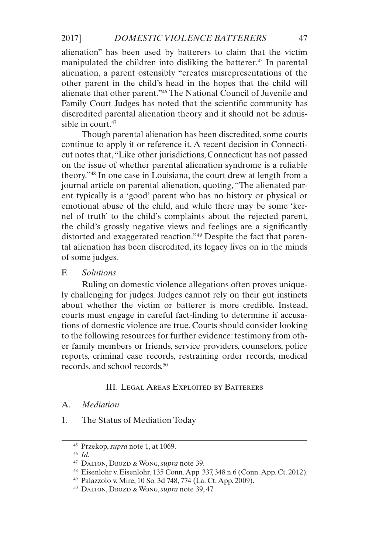alienation" has been used by batterers to claim that the victim manipulated the children into disliking the batterer.<sup>45</sup> In parental alienation, a parent ostensibly "creates misrepresentations of the other parent in the child's head in the hopes that the child will alienate that other parent."46 The National Council of Juvenile and Family Court Judges has noted that the scientific community has discredited parental alienation theory and it should not be admissible in court.<sup>47</sup>

Though parental alienation has been discredited, some courts continue to apply it or reference it. A recent decision in Connecticut notes that, "Like other jurisdictions, Connecticut has not passed on the issue of whether parental alienation syndrome is a reliable theory."48 In one case in Louisiana, the court drew at length from a journal article on parental alienation, quoting, "The alienated parent typically is a 'good' parent who has no history or physical or emotional abuse of the child, and while there may be some 'kernel of truth' to the child's complaints about the rejected parent, the child's grossly negative views and feelings are a significantly distorted and exaggerated reaction."49 Despite the fact that parental alienation has been discredited, its legacy lives on in the minds of some judges.

#### F. *Solutions*

Ruling on domestic violence allegations often proves uniquely challenging for judges. Judges cannot rely on their gut instincts about whether the victim or batterer is more credible. Instead, courts must engage in careful fact-finding to determine if accusations of domestic violence are true. Courts should consider looking to the following resources for further evidence: testimony from other family members or friends, service providers, counselors, police reports, criminal case records, restraining order records, medical records, and school records.50

#### III. Legal Areas Exploited by Batterers

#### A. *Mediation*

1. The Status of Mediation Today

<sup>45</sup> Przekop, *supra* note 1, at 1069.

<sup>46</sup> *Id.*

<sup>47</sup> Dalton, Drozd & Wong, *supra* note 39.

<sup>48</sup> Eisenlohr v. Eisenlohr, 135 Conn. App. 337, 348 n.6 (Conn. App. Ct. 2012).

<sup>49</sup> Palazzolo v. Mire, 10 So. 3d 748, 774 (La. Ct. App. 2009).

<sup>50</sup> Dalton, Drozd & Wong, *supra* note 39, 47.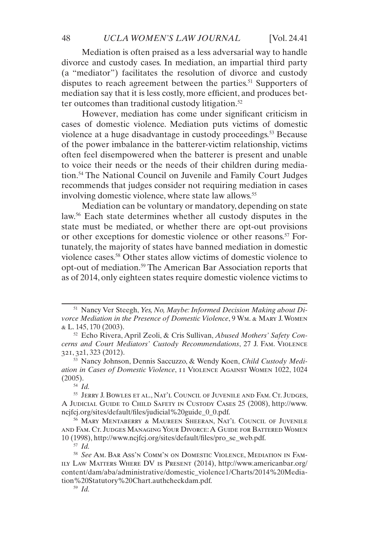Mediation is often praised as a less adversarial way to handle divorce and custody cases. In mediation, an impartial third party (a "mediator") facilitates the resolution of divorce and custody disputes to reach agreement between the parties.<sup>51</sup> Supporters of mediation say that it is less costly, more efficient, and produces better outcomes than traditional custody litigation.<sup>52</sup>

However, mediation has come under significant criticism in cases of domestic violence. Mediation puts victims of domestic violence at a huge disadvantage in custody proceedings.<sup>53</sup> Because of the power imbalance in the batterer-victim relationship, victims often feel disempowered when the batterer is present and unable to voice their needs or the needs of their children during mediation.54 The National Council on Juvenile and Family Court Judges recommends that judges consider not requiring mediation in cases involving domestic violence, where state law allows.<sup>55</sup>

Mediation can be voluntary or mandatory, depending on state law.56 Each state determines whether all custody disputes in the state must be mediated, or whether there are opt-out provisions or other exceptions for domestic violence or other reasons.<sup>57</sup> Fortunately, the majority of states have banned mediation in domestic violence cases.58 Other states allow victims of domestic violence to opt-out of mediation.59 The American Bar Association reports that as of 2014, only eighteen states require domestic violence victims to

<sup>53</sup> Nancy Johnson, Dennis Saccuzzo, & Wendy Koen, *Child Custody Mediation in Cases of Domestic Violence*, 11 Violence Against Women 1022, 1024 (2005).

<sup>55</sup> Jerry J. Bowles et al., Nat'l Council of Juvenile and Fam. Ct. Judges, A Judicial Guide to Child Safety in Custody Cases 25 (2008), http://www. ncjfcj.org/sites/default/files/judicial%20guide\_0\_0.pdf.

<sup>56</sup> Mary Mentaberry & Maureen Sheeran, Nat'l Council of Juvenile and Fam. Ct. Judges Managing Your Divorce: A Guide for Battered Women 10 (1998), http://www.ncjfcj.org/sites/default/files/pro\_se\_web.pdf.

<sup>51</sup> Nancy Ver Steegh, *Yes, No, Maybe: Informed Decision Making about Divorce Mediation in the Presence of Domestic Violence*, 9 Wm. & Mary J. Women & L. 145, 170 (2003).

<sup>52</sup> Echo Rivera, April Zeoli, & Cris Sullivan, *Abused Mothers' Safety Concerns and Court Mediators' Custody Recommendations*, 27 J. Fam. Violence 321, 321, 323 (2012).

<sup>54</sup> *Id.*

<sup>58</sup> *See* Am. Bar Ass'n Comm'n on Domestic Violence, Mediation in Family Law Matters Where DV is Present (2014), http://www.americanbar.org/ content/dam/aba/administrative/domestic\_violence1/Charts/2014%20Mediation%20Statutory%20Chart.authcheckdam.pdf.

<sup>59</sup> *Id.*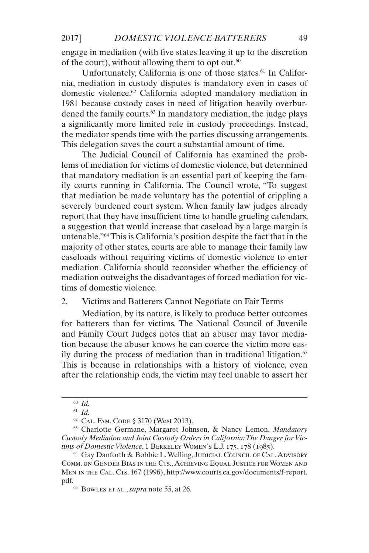engage in mediation (with five states leaving it up to the discretion of the court), without allowing them to opt out. $60$ 

Unfortunately, California is one of those states.<sup>61</sup> In California, mediation in custody disputes is mandatory even in cases of domestic violence.62 California adopted mandatory mediation in 1981 because custody cases in need of litigation heavily overburdened the family courts.<sup>63</sup> In mandatory mediation, the judge plays a significantly more limited role in custody proceedings. Instead, the mediator spends time with the parties discussing arrangements. This delegation saves the court a substantial amount of time.

The Judicial Council of California has examined the problems of mediation for victims of domestic violence, but determined that mandatory mediation is an essential part of keeping the family courts running in California. The Council wrote, "To suggest that mediation be made voluntary has the potential of crippling a severely burdened court system. When family law judges already report that they have insufficient time to handle grueling calendars, a suggestion that would increase that caseload by a large margin is untenable."64 This is California's position despite the fact that in the majority of other states, courts are able to manage their family law caseloads without requiring victims of domestic violence to enter mediation. California should reconsider whether the efficiency of mediation outweighs the disadvantages of forced mediation for victims of domestic violence.

#### 2. Victims and Batterers Cannot Negotiate on Fair Terms

Mediation, by its nature, is likely to produce better outcomes for batterers than for victims. The National Council of Juvenile and Family Court Judges notes that an abuser may favor mediation because the abuser knows he can coerce the victim more easily during the process of mediation than in traditional litigation.<sup>65</sup> This is because in relationships with a history of violence, even after the relationship ends, the victim may feel unable to assert her

<sup>60</sup> *Id.*

<sup>61</sup> *Id.*

<sup>62</sup> Cal. Fam. Code § 3170 (West 2013).

<sup>63</sup> Charlotte Germane, Margaret Johnson, & Nancy Lemon, *Mandatory Custody Mediation and Joint Custody Orders in California: The Danger for Victims of Domestic Violence*, 1 Berkeley Women's L.J. 175, 178 (1985).

<sup>&</sup>lt;sup>64</sup> Gay Danforth & Bobbie L. Welling, JUDICIAL COUNCIL OF CAL. ADVISORY Comm. on Gender Bias in the Cts., Achieving Equal Justice for Women and MEN IN THE CAL. CTS. 167 (1996), http://www.courts.ca.gov/documents/f-report. pdf.<br><sup>65</sup> Bowles et al., *supra* note 55, at 26.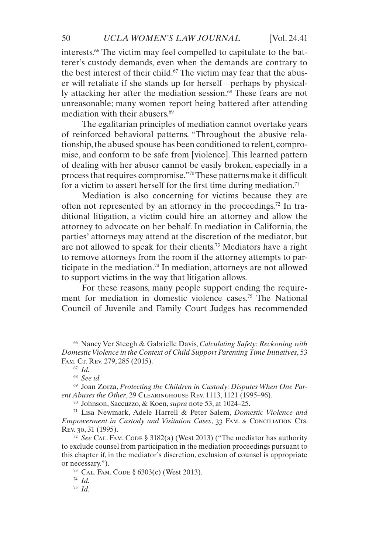interests.66 The victim may feel compelled to capitulate to the batterer's custody demands, even when the demands are contrary to the best interest of their child.<sup>67</sup> The victim may fear that the abuser will retaliate if she stands up for herself—perhaps by physically attacking her after the mediation session.<sup>68</sup> These fears are not unreasonable; many women report being battered after attending mediation with their abusers.<sup>69</sup>

The egalitarian principles of mediation cannot overtake years of reinforced behavioral patterns. "Throughout the abusive relationship, the abused spouse has been conditioned to relent, compromise, and conform to be safe from [violence]. This learned pattern of dealing with her abuser cannot be easily broken, especially in a process that requires compromise."70 These patterns make it difficult for a victim to assert herself for the first time during mediation.<sup>71</sup>

Mediation is also concerning for victims because they are often not represented by an attorney in the proceedings.72 In traditional litigation, a victim could hire an attorney and allow the attorney to advocate on her behalf. In mediation in California, the parties' attorneys may attend at the discretion of the mediator, but are not allowed to speak for their clients.73 Mediators have a right to remove attorneys from the room if the attorney attempts to participate in the mediation.<sup>74</sup> In mediation, attorneys are not allowed to support victims in the way that litigation allows.

For these reasons, many people support ending the requirement for mediation in domestic violence cases.<sup>75</sup> The National Council of Juvenile and Family Court Judges has recommended

<sup>66</sup> Nancy Ver Steegh & Gabrielle Davis, *Calculating Safety: Reckoning with Domestic Violence in the Context of Child Support Parenting Time Initiatives*, 53 FAM. CT. REV. 279, 285 (2015).

<sup>67</sup> *Id.*

<sup>68</sup> *See id.*

<sup>69</sup> Joan Zorza, *Protecting the Children in Custody: Disputes When One Parent Abuses the Other*, 29 Clearinghouse Rev. 1113, 1121 (1995–96).

<sup>70</sup> Johnson, Saccuzzo, & Koen, *supra* note 53, at 1024–25.

<sup>71</sup> Lisa Newmark, Adele Harrell & Peter Salem, *Domestic Violence and Empowerment in Custody and Visitation Cases*, 33 FAM. & CONCILIATION CTS. Rev. 30, 31 (1995).

 $72$  *See* CAL. FAM. CODE § 3182(a) (West 2013) ("The mediator has authority to exclude counsel from participation in the mediation proceedings pursuant to this chapter if, in the mediator's discretion, exclusion of counsel is appropriate or necessary.").

<sup>73</sup> Cal. Fam. Code § 6303(c) (West 2013).

<sup>74</sup> *Id.*

<sup>75</sup> *Id.*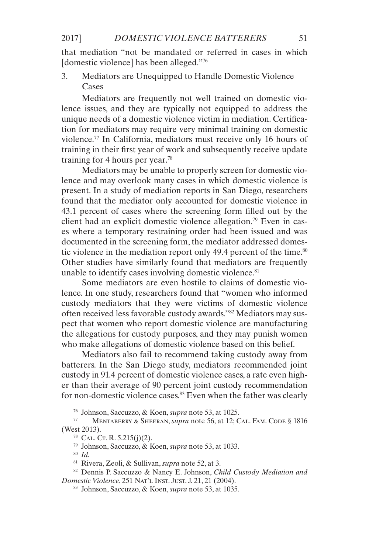that mediation "not be mandated or referred in cases in which [domestic violence] has been alleged."76

3. Mediators are Unequipped to Handle Domestic Violence Cases

Mediators are frequently not well trained on domestic violence issues, and they are typically not equipped to address the unique needs of a domestic violence victim in mediation. Certification for mediators may require very minimal training on domestic violence.77 In California, mediators must receive only 16 hours of training in their first year of work and subsequently receive update training for 4 hours per year.78

Mediators may be unable to properly screen for domestic violence and may overlook many cases in which domestic violence is present. In a study of mediation reports in San Diego, researchers found that the mediator only accounted for domestic violence in 43.1 percent of cases where the screening form filled out by the client had an explicit domestic violence allegation.<sup>79</sup> Even in cases where a temporary restraining order had been issued and was documented in the screening form, the mediator addressed domestic violence in the mediation report only 49.4 percent of the time.<sup>80</sup> Other studies have similarly found that mediators are frequently unable to identify cases involving domestic violence. $81$ 

Some mediators are even hostile to claims of domestic violence. In one study, researchers found that "women who informed custody mediators that they were victims of domestic violence often received less favorable custody awards."82 Mediators may suspect that women who report domestic violence are manufacturing the allegations for custody purposes, and they may punish women who make allegations of domestic violence based on this belief.

Mediators also fail to recommend taking custody away from batterers. In the San Diego study, mediators recommended joint custody in 91.4 percent of domestic violence cases, a rate even higher than their average of 90 percent joint custody recommendation for non-domestic violence cases.<sup>83</sup> Even when the father was clearly

<sup>79</sup> Johnson, Saccuzzo, & Koen, *supra* note 53, at 1033.

<sup>&</sup>lt;sup>76</sup> Johnson, Saccuzzo, & Koen, *supra* note 53, at 1025.<br>  $\frac{7}{7}$  MENTABERRY & SHEERAN, *supra* note 56, at 12: C

<sup>77</sup> Mentaberry & Sheeran, *supra* note 56, at 12; Cal. Fam. Code § 1816 (West 2013).

 $78$  CAL. CT. R. 5.215(j)(2).

<sup>81</sup> Rivera, Zeoli, & Sullivan, *supra* note 52, at 3.

<sup>82</sup> Dennis P. Saccuzzo & Nancy E. Johnson, *Child Custody Mediation and Domestic Violence*, 251 Nat'l Inst. Just. J. 21, 21 (2004).

<sup>83</sup> Johnson, Saccuzzo, & Koen, *supra* note 53, at 1035.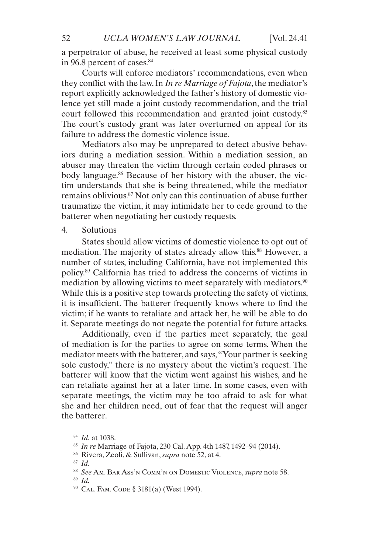a perpetrator of abuse, he received at least some physical custody in 96.8 percent of cases.<sup>84</sup>

Courts will enforce mediators' recommendations, even when they conflict with the law. In *In re Marriage of Fajota*, the mediator's report explicitly acknowledged the father's history of domestic violence yet still made a joint custody recommendation, and the trial court followed this recommendation and granted joint custody.85 The court's custody grant was later overturned on appeal for its failure to address the domestic violence issue.

Mediators also may be unprepared to detect abusive behaviors during a mediation session. Within a mediation session, an abuser may threaten the victim through certain coded phrases or body language.<sup>86</sup> Because of her history with the abuser, the victim understands that she is being threatened, while the mediator remains oblivious.87 Not only can this continuation of abuse further traumatize the victim, it may intimidate her to cede ground to the batterer when negotiating her custody requests.

#### 4. Solutions

States should allow victims of domestic violence to opt out of mediation. The majority of states already allow this.<sup>88</sup> However, a number of states, including California, have not implemented this policy.89 California has tried to address the concerns of victims in mediation by allowing victims to meet separately with mediators.<sup>90</sup> While this is a positive step towards protecting the safety of victims, it is insufficient. The batterer frequently knows where to find the victim; if he wants to retaliate and attack her, he will be able to do it. Separate meetings do not negate the potential for future attacks.

Additionally, even if the parties meet separately, the goal of mediation is for the parties to agree on some terms. When the mediator meets with the batterer, and says, "Your partner is seeking sole custody," there is no mystery about the victim's request. The batterer will know that the victim went against his wishes, and he can retaliate against her at a later time. In some cases, even with separate meetings, the victim may be too afraid to ask for what she and her children need, out of fear that the request will anger the batterer.

<sup>84</sup> *Id.* at 1038.

<sup>85</sup> *In re* Marriage of Fajota, 230 Cal. App. 4th 1487, 1492–94 (2014).

<sup>86</sup> Rivera, Zeoli, & Sullivan, *supra* note 52, at 4.

<sup>87</sup> *Id.*

<sup>88</sup> *See* Am. Bar Ass'n Comm'n on Domestic Violence, *supra* note 58.

<sup>89</sup> *Id.*

<sup>90</sup> Cal. Fam. Code § 3181(a) (West 1994).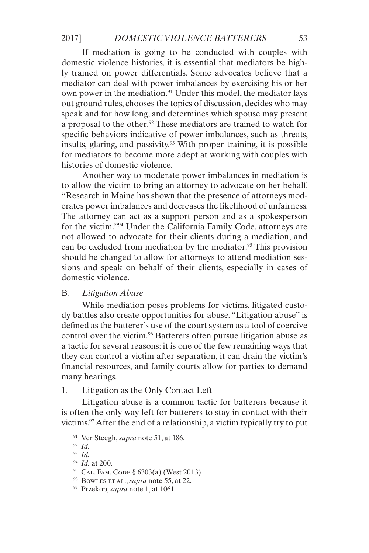If mediation is going to be conducted with couples with domestic violence histories, it is essential that mediators be highly trained on power differentials. Some advocates believe that a mediator can deal with power imbalances by exercising his or her own power in the mediation.<sup>91</sup> Under this model, the mediator lays out ground rules, chooses the topics of discussion, decides who may speak and for how long, and determines which spouse may present a proposal to the other.<sup>92</sup> These mediators are trained to watch for specific behaviors indicative of power imbalances, such as threats, insults, glaring, and passivity.93 With proper training, it is possible for mediators to become more adept at working with couples with histories of domestic violence.

Another way to moderate power imbalances in mediation is to allow the victim to bring an attorney to advocate on her behalf. "Research in Maine has shown that the presence of attorneys moderates power imbalances and decreases the likelihood of unfairness. The attorney can act as a support person and as a spokesperson for the victim."94 Under the California Family Code, attorneys are not allowed to advocate for their clients during a mediation, and can be excluded from mediation by the mediator.<sup>95</sup> This provision should be changed to allow for attorneys to attend mediation sessions and speak on behalf of their clients, especially in cases of domestic violence.

#### B. *Litigation Abuse*

While mediation poses problems for victims, litigated custody battles also create opportunities for abuse. "Litigation abuse" is defined as the batterer's use of the court system as a tool of coercive control over the victim.<sup>96</sup> Batterers often pursue litigation abuse as a tactic for several reasons: it is one of the few remaining ways that they can control a victim after separation, it can drain the victim's financial resources, and family courts allow for parties to demand many hearings.

1. Litigation as the Only Contact Left

Litigation abuse is a common tactic for batterers because it is often the only way left for batterers to stay in contact with their victims.97 After the end of a relationship, a victim typically try to put

<sup>91</sup> Ver Steegh, *supra* note 51, at 186.

<sup>92</sup> *Id.*

<sup>93</sup> *Id.*

<sup>94</sup> *Id.* at 200.

<sup>95</sup> Cal. Fam. Code § 6303(a) (West 2013).

<sup>96</sup> Bowles et al., *supra* note 55, at 22.

<sup>97</sup> Przekop, *supra* note 1, at 1061.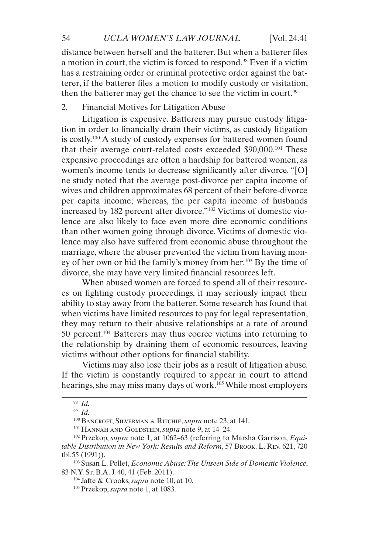distance between herself and the batterer. But when a batterer files a motion in court, the victim is forced to respond.98 Even if a victim has a restraining order or criminal protective order against the batterer, if the batterer files a motion to modify custody or visitation, then the batterer may get the chance to see the victim in court.<sup>99</sup>

#### 2. Financial Motives for Litigation Abuse

Litigation is expensive. Batterers may pursue custody litigation in order to financially drain their victims, as custody litigation is costly.100 A study of custody expenses for battered women found that their average court-related costs exceeded \$90,000.101 These expensive proceedings are often a hardship for battered women, as women's income tends to decrease significantly after divorce. "[O] ne study noted that the average post-divorce per capita income of wives and children approximates 68 percent of their before-divorce per capita income; whereas, the per capita income of husbands increased by 182 percent after divorce."102 Victims of domestic violence are also likely to face even more dire economic conditions than other women going through divorce. Victims of domestic violence may also have suffered from economic abuse throughout the marriage, where the abuser prevented the victim from having money of her own or hid the family's money from her.103 By the time of divorce, she may have very limited financial resources left.

When abused women are forced to spend all of their resources on fighting custody proceedings, it may seriously impact their ability to stay away from the batterer. Some research has found that when victims have limited resources to pay for legal representation, they may return to their abusive relationships at a rate of around 50 percent.104 Batterers may thus coerce victims into returning to the relationship by draining them of economic resources, leaving victims without other options for financial stability.

Victims may also lose their jobs as a result of litigation abuse. If the victim is constantly required to appear in court to attend hearings, she may miss many days of work.<sup>105</sup> While most employers

<sup>98</sup> *Id.*

<sup>99</sup> *Id.*

<sup>100</sup> Bancroft, Silverman & Ritchie, *supra* note 23, at 141.

<sup>101</sup> Hannah and Goldstein, *supra* note 9, at 14–24.

<sup>102</sup> Przekop, *supra* note 1, at 1062–63 (referring to Marsha Garrison, *Equitable Distribution in New York: Results and Reform*, 57 Brook. L. Rev. 621, 720 tbl.55 (1991)).

<sup>103</sup> Susan L. Pollet, *Economic Abuse: The Unseen Side of Domestic Violence*, 83 N.Y. St. B.A. J. 40, 41 (Feb. 2011).

<sup>104</sup> Jaffe & Crooks, *supra* note 10, at 10.

<sup>105</sup> Przekop, *supra* note 1, at 1083.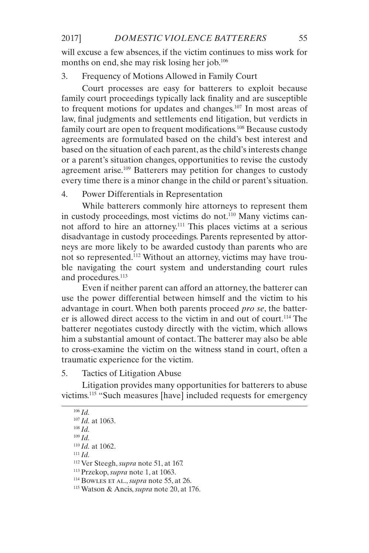will excuse a few absences, if the victim continues to miss work for months on end, she may risk losing her job.106

#### 3. Frequency of Motions Allowed in Family Court

Court processes are easy for batterers to exploit because family court proceedings typically lack finality and are susceptible to frequent motions for updates and changes.<sup>107</sup> In most areas of law, final judgments and settlements end litigation, but verdicts in family court are open to frequent modifications.<sup>108</sup> Because custody agreements are formulated based on the child's best interest and based on the situation of each parent, as the child's interests change or a parent's situation changes, opportunities to revise the custody agreement arise.<sup>109</sup> Batterers may petition for changes to custody every time there is a minor change in the child or parent's situation.

#### 4. Power Differentials in Representation

While batterers commonly hire attorneys to represent them in custody proceedings, most victims do not.110 Many victims cannot afford to hire an attorney.111 This places victims at a serious disadvantage in custody proceedings. Parents represented by attorneys are more likely to be awarded custody than parents who are not so represented.112 Without an attorney, victims may have trouble navigating the court system and understanding court rules and procedures.<sup>113</sup>

Even if neither parent can afford an attorney, the batterer can use the power differential between himself and the victim to his advantage in court. When both parents proceed *pro se*, the batterer is allowed direct access to the victim in and out of court.114 The batterer negotiates custody directly with the victim, which allows him a substantial amount of contact. The batterer may also be able to cross-examine the victim on the witness stand in court, often a traumatic experience for the victim.

#### 5. Tactics of Litigation Abuse

Litigation provides many opportunities for batterers to abuse victims.115 "Such measures [have] included requests for emergency

<sup>110</sup> *Id.* at 1062.

<sup>106</sup> *Id.*

<sup>107</sup> *Id.* at 1063.

<sup>108</sup> *Id.*

<sup>109</sup> *Id.*

<sup>112</sup> Ver Steegh, *supra* note 51, at 167.

<sup>113</sup> Przekop, *supra* note 1, at 1063.

<sup>114</sup> Bowles et al., *supra* note 55, at 26.

<sup>115</sup> Watson & Ancis, *supra* note 20, at 176.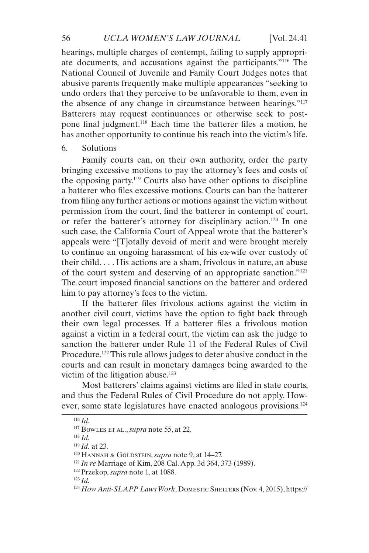hearings, multiple charges of contempt, failing to supply appropriate documents, and accusations against the participants."116 The National Council of Juvenile and Family Court Judges notes that abusive parents frequently make multiple appearances "seeking to undo orders that they perceive to be unfavorable to them, even in the absence of any change in circumstance between hearings."117 Batterers may request continuances or otherwise seek to postpone final judgment.118 Each time the batterer files a motion, he has another opportunity to continue his reach into the victim's life.

#### 6. Solutions

Family courts can, on their own authority, order the party bringing excessive motions to pay the attorney's fees and costs of the opposing party.119 Courts also have other options to discipline a batterer who files excessive motions. Courts can ban the batterer from filing any further actions or motions against the victim without permission from the court, find the batterer in contempt of court, or refer the batterer's attorney for disciplinary action.120 In one such case, the California Court of Appeal wrote that the batterer's appeals were "[T]otally devoid of merit and were brought merely to continue an ongoing harassment of his ex-wife over custody of their child. . . . His actions are a sham, frivolous in nature, an abuse of the court system and deserving of an appropriate sanction."121 The court imposed financial sanctions on the batterer and ordered him to pay attorney's fees to the victim.

If the batterer files frivolous actions against the victim in another civil court, victims have the option to fight back through their own legal processes. If a batterer files a frivolous motion against a victim in a federal court, the victim can ask the judge to sanction the batterer under Rule 11 of the Federal Rules of Civil Procedure.<sup>122</sup> This rule allows judges to deter abusive conduct in the courts and can result in monetary damages being awarded to the victim of the litigation abuse.<sup>123</sup>

Most batterers' claims against victims are filed in state courts, and thus the Federal Rules of Civil Procedure do not apply. However, some state legislatures have enacted analogous provisions.124

<sup>116</sup> *Id.*

<sup>117</sup> Bowles et al., *supra* note 55, at 22.

<sup>119</sup> *Id.* at 23.

<sup>120</sup> HANNAH & GOLDSTEIN, *supra* note 9, at 14-27.

<sup>121</sup> *In re* Marriage of Kim, 208 Cal. App. 3d 364, 373 (1989).

<sup>122</sup> Przekop, *supra* note 1, at 1088.

<sup>123</sup> *Id.*

<sup>124</sup> *How Anti-SLAPP Laws Work*, Domestic Shelters (Nov. 4, 2015), https://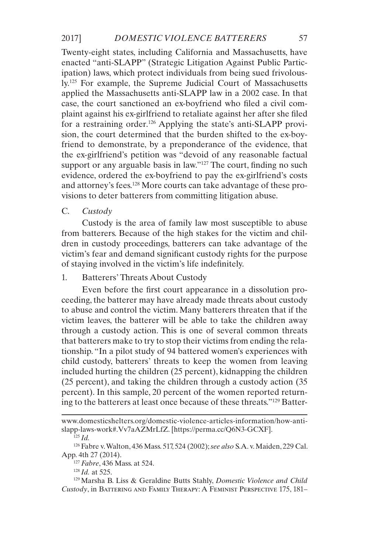Twenty-eight states, including California and Massachusetts, have enacted "anti-SLAPP" (Strategic Litigation Against Public Participation) laws, which protect individuals from being sued frivolously.125 For example, the Supreme Judicial Court of Massachusetts applied the Massachusetts anti-SLAPP law in a 2002 case. In that case, the court sanctioned an ex-boyfriend who filed a civil complaint against his ex-girlfriend to retaliate against her after she filed for a restraining order.<sup>126</sup> Applying the state's anti-SLAPP provision, the court determined that the burden shifted to the ex-boyfriend to demonstrate, by a preponderance of the evidence, that the ex-girlfriend's petition was "devoid of any reasonable factual support or any arguable basis in law."<sup>127</sup> The court, finding no such evidence, ordered the ex-boyfriend to pay the ex-girlfriend's costs and attorney's fees.128 More courts can take advantage of these provisions to deter batterers from committing litigation abuse.

C. *Custody*

Custody is the area of family law most susceptible to abuse from batterers. Because of the high stakes for the victim and children in custody proceedings, batterers can take advantage of the victim's fear and demand significant custody rights for the purpose of staying involved in the victim's life indefinitely.

#### 1. Batterers' Threats About Custody

Even before the first court appearance in a dissolution proceeding, the batterer may have already made threats about custody to abuse and control the victim. Many batterers threaten that if the victim leaves, the batterer will be able to take the children away through a custody action. This is one of several common threats that batterers make to try to stop their victims from ending the relationship. "In a pilot study of 94 battered women's experiences with child custody, batterers' threats to keep the women from leaving included hurting the children (25 percent), kidnapping the children (25 percent), and taking the children through a custody action (35 percent). In this sample, 20 percent of the women reported returning to the batterers at least once because of these threats."129 Batter-

<sup>127</sup> *Fabre*, 436 Mass. at 524.

<sup>128</sup> *Id.* at 525.

<sup>129</sup> Marsha B. Liss & Geraldine Butts Stahly, *Domestic Violence and Child Custody*, in Battering and Family Therapy: A Feminist Perspective 175, 181–

www.domesticshelters.org/domestic-violence-articles-information/how-antislapp-laws-work#.Vv7aAZMrLfZ. [https://perma.cc/Q6N3-GCXF].

<sup>125</sup> *Id.*

<sup>126</sup> Fabre v. Walton, 436 Mass. 517, 524 (2002); *see also* S.A. v. Maiden, 229 Cal. App. 4th 27 (2014).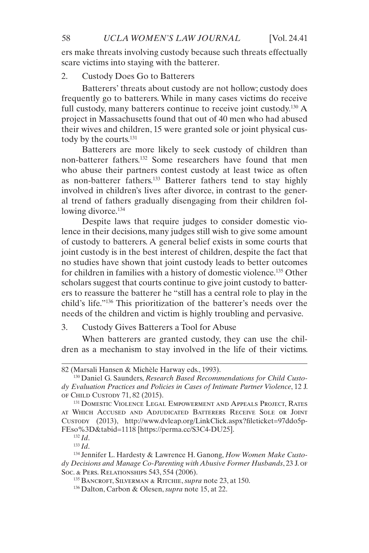ers make threats involving custody because such threats effectually scare victims into staying with the batterer.

#### 2. Custody Does Go to Batterers

Batterers' threats about custody are not hollow; custody does frequently go to batterers. While in many cases victims do receive full custody, many batterers continue to receive joint custody.<sup>130</sup> A project in Massachusetts found that out of 40 men who had abused their wives and children, 15 were granted sole or joint physical custody by the courts.<sup>131</sup>

Batterers are more likely to seek custody of children than non-batterer fathers.<sup>132</sup> Some researchers have found that men who abuse their partners contest custody at least twice as often as non-batterer fathers.133 Batterer fathers tend to stay highly involved in children's lives after divorce, in contrast to the general trend of fathers gradually disengaging from their children following divorce.<sup>134</sup>

Despite laws that require judges to consider domestic violence in their decisions, many judges still wish to give some amount of custody to batterers. A general belief exists in some courts that joint custody is in the best interest of children, despite the fact that no studies have shown that joint custody leads to better outcomes for children in families with a history of domestic violence.135 Other scholars suggest that courts continue to give joint custody to batterers to reassure the batterer he "still has a central role to play in the child's life."136 This prioritization of the batterer's needs over the needs of the children and victim is highly troubling and pervasive.

#### 3. Custody Gives Batterers a Tool for Abuse

When batterers are granted custody, they can use the children as a mechanism to stay involved in the life of their victims.

<sup>82 (</sup>Marsali Hansen & Michèle Harway eds., 1993).

<sup>130</sup> Daniel G. Saunders, *Research Based Recommendations for Child Custody Evaluation Practices and Policies in Cases of Intimate Partner Violence*, 12 J. of Child Custody 71, 82 (2015).

<sup>&</sup>lt;sup>131</sup> DOMESTIC VIOLENCE LEGAL EMPOWERMENT AND APPEALS PROJECT, RATES at Which Accused and Adjudicated Batterers Receive Sole or Joint Custody (2013), http://www.dvleap.org/LinkClick.aspx?fileticket=97ddo5p-FEso%3D&tabid=1118 [https://perma.cc/S3C4-DU25].

<sup>132</sup> *Id*.

<sup>133</sup> *Id*.

<sup>134</sup> Jennifer L. Hardesty & Lawrence H. Ganong, *How Women Make Custody Decisions and Manage Co-Parenting with Abusive Former Husbands*, 23 J. of Soc. & Pers. Relationships 543, 554 (2006).

<sup>135</sup> Bancroft, Silverman & Ritchie, *supra* note 23, at 150.

<sup>136</sup> Dalton, Carbon & Olesen, *supra* note 15, at 22.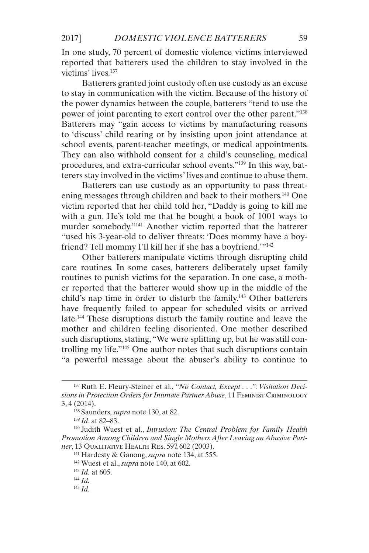In one study, 70 percent of domestic violence victims interviewed reported that batterers used the children to stay involved in the victims' lives.137

Batterers granted joint custody often use custody as an excuse to stay in communication with the victim. Because of the history of the power dynamics between the couple, batterers "tend to use the power of joint parenting to exert control over the other parent."138 Batterers may "gain access to victims by manufacturing reasons to 'discuss' child rearing or by insisting upon joint attendance at school events, parent-teacher meetings, or medical appointments. They can also withhold consent for a child's counseling, medical procedures, and extra-curricular school events."139 In this way, batterers stay involved in the victims' lives and continue to abuse them.

Batterers can use custody as an opportunity to pass threatening messages through children and back to their mothers.140 One victim reported that her child told her, "Daddy is going to kill me with a gun. He's told me that he bought a book of 1001 ways to murder somebody."141 Another victim reported that the batterer "used his 3-year-old to deliver threats: 'Does mommy have a boyfriend? Tell mommy I'll kill her if she has a boyfriend.'"142

Other batterers manipulate victims through disrupting child care routines. In some cases, batterers deliberately upset family routines to punish victims for the separation. In one case, a mother reported that the batterer would show up in the middle of the child's nap time in order to disturb the family.<sup>143</sup> Other batterers have frequently failed to appear for scheduled visits or arrived late.144 These disruptions disturb the family routine and leave the mother and children feeling disoriented. One mother described such disruptions, stating, "We were splitting up, but he was still controlling my life."145 One author notes that such disruptions contain "a powerful message about the abuser's ability to continue to

<sup>137</sup> Ruth E. Fleury-Steiner et al., *"No Contact, Except . . .": Visitation Decisions in Protection Orders for Intimate Partner Abuse*, 11 Feminist Criminology 3, 4 (2014).

<sup>138</sup> Saunders, *supra* note 130, at 82.

<sup>139</sup> *Id*. at 82–83.

<sup>140</sup> Judith Wuest et al., *Intrusion: The Central Problem for Family Health Promotion Among Children and Single Mothers After Leaving an Abusive Partner*, 13 Qualitative Health Res. 597, 602 (2003).

<sup>141</sup> Hardesty & Ganong, *supra* note 134, at 555.

<sup>142</sup> Wuest et al., *supra* note 140, at 602.

<sup>143</sup> *Id.* at 605.

<sup>144</sup> *Id.*

<sup>145</sup> *Id.*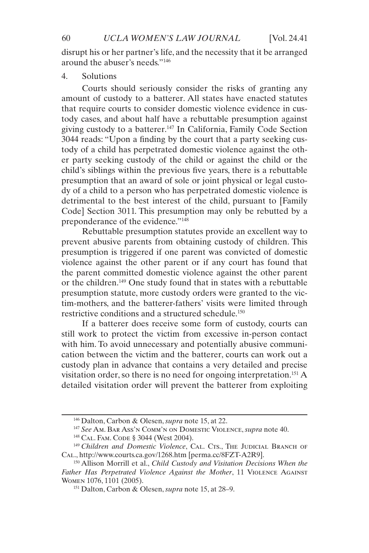disrupt his or her partner's life, and the necessity that it be arranged around the abuser's needs."146

#### 4. Solutions

Courts should seriously consider the risks of granting any amount of custody to a batterer. All states have enacted statutes that require courts to consider domestic violence evidence in custody cases, and about half have a rebuttable presumption against giving custody to a batterer.147 In California, Family Code Section 3044 reads: "Upon a finding by the court that a party seeking custody of a child has perpetrated domestic violence against the other party seeking custody of the child or against the child or the child's siblings within the previous five years, there is a rebuttable presumption that an award of sole or joint physical or legal custody of a child to a person who has perpetrated domestic violence is detrimental to the best interest of the child, pursuant to [Family Code] Section 3011. This presumption may only be rebutted by a preponderance of the evidence."148

Rebuttable presumption statutes provide an excellent way to prevent abusive parents from obtaining custody of children. This presumption is triggered if one parent was convicted of domestic violence against the other parent or if any court has found that the parent committed domestic violence against the other parent or the children.149 One study found that in states with a rebuttable presumption statute, more custody orders were granted to the victim-mothers, and the batterer-fathers' visits were limited through restrictive conditions and a structured schedule.150

If a batterer does receive some form of custody, courts can still work to protect the victim from excessive in-person contact with him. To avoid unnecessary and potentially abusive communication between the victim and the batterer, courts can work out a custody plan in advance that contains a very detailed and precise visitation order, so there is no need for ongoing interpretation.151 A detailed visitation order will prevent the batterer from exploiting

<sup>146</sup> Dalton, Carbon & Olesen, *supra* note 15, at 22.

<sup>147</sup> *See* Am. Bar Ass'n Comm'n on Domestic Violence, *supra* note 40.

<sup>148</sup> Cal. Fam. Code § 3044 (West 2004).

<sup>&</sup>lt;sup>149</sup> Children and Domestic Violence, CAL. CTS., THE JUDICIAL BRANCH OF Cal., http://www.courts.ca.gov/1268.htm [perma.cc/8FZT-A2R9].

<sup>150</sup> Allison Morrill et al., *Child Custody and Visitation Decisions When the Father Has Perpetrated Violence Against the Mother*, 11 Violence Against Women 1076, 1101 (2005).

<sup>151</sup> Dalton, Carbon & Olesen, *supra* note 15, at 28–9.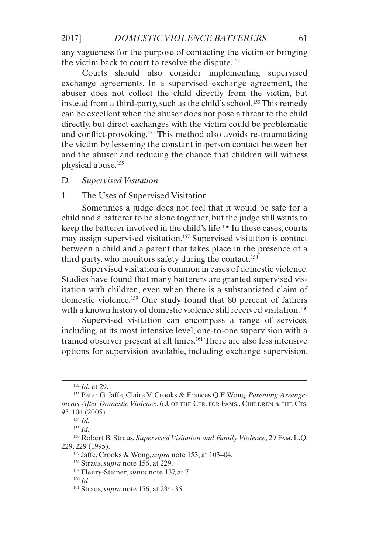any vagueness for the purpose of contacting the victim or bringing the victim back to court to resolve the dispute.<sup>152</sup>

Courts should also consider implementing supervised exchange agreements. In a supervised exchange agreement, the abuser does not collect the child directly from the victim, but instead from a third-party, such as the child's school.<sup>153</sup> This remedy can be excellent when the abuser does not pose a threat to the child directly, but direct exchanges with the victim could be problematic and conflict-provoking.154 This method also avoids re-traumatizing the victim by lessening the constant in-person contact between her and the abuser and reducing the chance that children will witness physical abuse.155

#### D. *Supervised Visitation*

#### 1. The Uses of Supervised Visitation

Sometimes a judge does not feel that it would be safe for a child and a batterer to be alone together, but the judge still wants to keep the batterer involved in the child's life.156 In these cases, courts may assign supervised visitation.157 Supervised visitation is contact between a child and a parent that takes place in the presence of a third party, who monitors safety during the contact.158

Supervised visitation is common in cases of domestic violence. Studies have found that many batterers are granted supervised visitation with children, even when there is a substantiated claim of domestic violence.159 One study found that 80 percent of fathers with a known history of domestic violence still received visitation.<sup>160</sup>

Supervised visitation can encompass a range of services, including, at its most intensive level, one-to-one supervision with a trained observer present at all times.161 There are also less intensive options for supervision available, including exchange supervision,

<sup>152</sup> *Id.* at 29.

<sup>153</sup> Peter G. Jaffe, Claire V. Crooks & Frances Q.F. Wong, *Parenting Arrangements After Domestic Violence*, 6 J. of the Ctr. for Fams., Children & the Cts. 95, 104 (2005).

<sup>154</sup> *Id.*

<sup>155</sup> *Id.*

<sup>156</sup> Robert B. Straus, *Supervised Visitation and Family Violence*, 29 Fam. L.Q. 229, 229 (1995).

<sup>157</sup> Jaffe, Crooks & Wong, *supra* note 153, at 103–04.

<sup>158</sup> Straus, *supra* note 156, at 229.

<sup>159</sup> Fleury-Steiner, *supra* note 137, at 7.

<sup>160</sup> *Id*.

<sup>161</sup> Straus, *supra* note 156, at 234–35.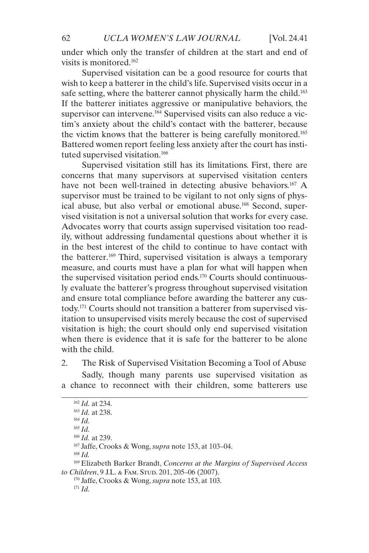under which only the transfer of children at the start and end of visits is monitored.162

Supervised visitation can be a good resource for courts that wish to keep a batterer in the child's life. Supervised visits occur in a safe setting, where the batterer cannot physically harm the child.<sup>163</sup> If the batterer initiates aggressive or manipulative behaviors, the supervisor can intervene.<sup>164</sup> Supervised visits can also reduce a victim's anxiety about the child's contact with the batterer, because the victim knows that the batterer is being carefully monitored.165 Battered women report feeling less anxiety after the court has instituted supervised visitation.166

Supervised visitation still has its limitations. First, there are concerns that many supervisors at supervised visitation centers have not been well-trained in detecting abusive behaviors.<sup>167</sup> A supervisor must be trained to be vigilant to not only signs of physical abuse, but also verbal or emotional abuse.168 Second, supervised visitation is not a universal solution that works for every case. Advocates worry that courts assign supervised visitation too readily, without addressing fundamental questions about whether it is in the best interest of the child to continue to have contact with the batterer.169 Third, supervised visitation is always a temporary measure, and courts must have a plan for what will happen when the supervised visitation period ends.170 Courts should continuously evaluate the batterer's progress throughout supervised visitation and ensure total compliance before awarding the batterer any custody.171 Courts should not transition a batterer from supervised visitation to unsupervised visits merely because the cost of supervised visitation is high; the court should only end supervised visitation when there is evidence that it is safe for the batterer to be alone with the child.

2. The Risk of Supervised Visitation Becoming a Tool of Abuse Sadly, though many parents use supervised visitation as a chance to reconnect with their children, some batterers use

<sup>166</sup> *Id.* at 239.

<sup>167</sup> Jaffe, Crooks & Wong, *supra* note 153, at 103–04.

<sup>168</sup> *Id.*

<sup>169</sup> Elizabeth Barker Brandt, *Concerns at the Margins of Supervised Access*  to Children, 9 J.L. & FAM. STUD. 201, 205-06 (2007).

<sup>170</sup> Jaffe, Crooks & Wong, *supra* note 153, at 103. <sup>171</sup> *Id.*

<sup>162</sup> *Id.* at 234.

<sup>163</sup> *Id.* at 238.

<sup>164</sup> *Id.* <sup>165</sup> *Id.*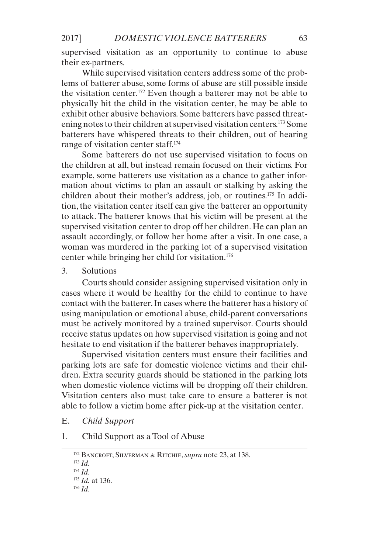supervised visitation as an opportunity to continue to abuse their ex-partners.

While supervised visitation centers address some of the problems of batterer abuse, some forms of abuse are still possible inside the visitation center.172 Even though a batterer may not be able to physically hit the child in the visitation center, he may be able to exhibit other abusive behaviors. Some batterers have passed threatening notes to their children at supervised visitation centers.173 Some batterers have whispered threats to their children, out of hearing range of visitation center staff.174

Some batterers do not use supervised visitation to focus on the children at all, but instead remain focused on their victims. For example, some batterers use visitation as a chance to gather information about victims to plan an assault or stalking by asking the children about their mother's address, job, or routines.175 In addition, the visitation center itself can give the batterer an opportunity to attack. The batterer knows that his victim will be present at the supervised visitation center to drop off her children. He can plan an assault accordingly, or follow her home after a visit. In one case, a woman was murdered in the parking lot of a supervised visitation center while bringing her child for visitation.176

3. Solutions

Courts should consider assigning supervised visitation only in cases where it would be healthy for the child to continue to have contact with the batterer. In cases where the batterer has a history of using manipulation or emotional abuse, child-parent conversations must be actively monitored by a trained supervisor. Courts should receive status updates on how supervised visitation is going and not hesitate to end visitation if the batterer behaves inappropriately.

Supervised visitation centers must ensure their facilities and parking lots are safe for domestic violence victims and their children. Extra security guards should be stationed in the parking lots when domestic violence victims will be dropping off their children. Visitation centers also must take care to ensure a batterer is not able to follow a victim home after pick-up at the visitation center.

E. *Child Support*

1. Child Support as a Tool of Abuse

<sup>172</sup> Bancroft, Silverman & Ritchie, *supra* note 23, at 138.

<sup>173</sup> *Id.*

<sup>174</sup> *Id.*

<sup>175</sup> *Id.* at 136.

<sup>176</sup> *Id.*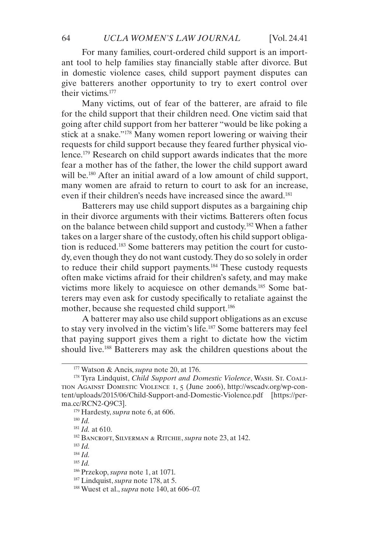For many families, court-ordered child support is an important tool to help families stay financially stable after divorce. But in domestic violence cases, child support payment disputes can give batterers another opportunity to try to exert control over their victims<sup>177</sup>

Many victims, out of fear of the batterer, are afraid to file for the child support that their children need. One victim said that going after child support from her batterer "would be like poking a stick at a snake."178 Many women report lowering or waiving their requests for child support because they feared further physical violence.179 Research on child support awards indicates that the more fear a mother has of the father, the lower the child support award will be.<sup>180</sup> After an initial award of a low amount of child support, many women are afraid to return to court to ask for an increase, even if their children's needs have increased since the award.<sup>181</sup>

Batterers may use child support disputes as a bargaining chip in their divorce arguments with their victims. Batterers often focus on the balance between child support and custody.182 When a father takes on a larger share of the custody, often his child support obligation is reduced.<sup>183</sup> Some batterers may petition the court for custody, even though they do not want custody. They do so solely in order to reduce their child support payments.184 These custody requests often make victims afraid for their children's safety, and may make victims more likely to acquiesce on other demands.185 Some batterers may even ask for custody specifically to retaliate against the mother, because she requested child support.<sup>186</sup>

A batterer may also use child support obligations as an excuse to stay very involved in the victim's life.187 Some batterers may feel that paying support gives them a right to dictate how the victim should live.<sup>188</sup> Batterers may ask the children questions about the

<sup>180</sup> *Id.*

<sup>181</sup> *Id.* at 610.

<sup>183</sup> *Id.*

<sup>184</sup> *Id.*

<sup>177</sup> Watson & Ancis, *supra* note 20, at 176.

<sup>178</sup> Tyra Lindquist, *Child Support and Domestic Violence*, Wash. St. Coalition Against Domestic Violence 1, 5 (June 2006), http://wscadv.org/wp-content/uploads/2015/06/Child-Support-and-Domestic-Violence.pdf [https://perma.cc/RCN2-Q9C3].

<sup>179</sup> Hardesty, *supra* note 6, at 606.

<sup>182</sup> Bancroft, Silverman & Ritchie, *supra* note 23, at 142.

<sup>186</sup> Przekop, *supra* note 1, at 1071.

<sup>187</sup> Lindquist, *supra* note 178, at 5.

<sup>188</sup> Wuest et al., *supra* note 140, at 606–07.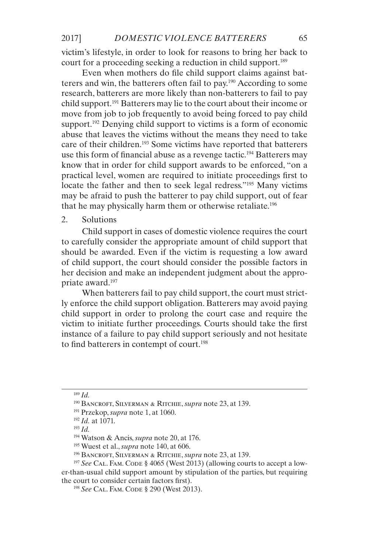victim's lifestyle, in order to look for reasons to bring her back to court for a proceeding seeking a reduction in child support.<sup>189</sup>

Even when mothers do file child support claims against batterers and win, the batterers often fail to pay.190 According to some research, batterers are more likely than non-batterers to fail to pay child support.191 Batterers may lie to the court about their income or move from job to job frequently to avoid being forced to pay child support.<sup>192</sup> Denying child support to victims is a form of economic abuse that leaves the victims without the means they need to take care of their children.193 Some victims have reported that batterers use this form of financial abuse as a revenge tactic.<sup>194</sup> Batterers may know that in order for child support awards to be enforced, "on a practical level, women are required to initiate proceedings first to locate the father and then to seek legal redress."<sup>195</sup> Many victims may be afraid to push the batterer to pay child support, out of fear that he may physically harm them or otherwise retaliate.196

#### 2. Solutions

Child support in cases of domestic violence requires the court to carefully consider the appropriate amount of child support that should be awarded. Even if the victim is requesting a low award of child support, the court should consider the possible factors in her decision and make an independent judgment about the appropriate award.197

When batterers fail to pay child support, the court must strictly enforce the child support obligation. Batterers may avoid paying child support in order to prolong the court case and require the victim to initiate further proceedings. Courts should take the first instance of a failure to pay child support seriously and not hesitate to find batterers in contempt of court.<sup>198</sup>

<sup>189</sup> *Id.*

<sup>190</sup> Bancroft, Silverman & Ritchie, *supra* note 23, at 139.

<sup>191</sup> Przekop, *supra* note 1, at 1060.

<sup>192</sup> *Id.* at 1071.

<sup>193</sup> *Id.*

<sup>194</sup> Watson & Ancis, *supra* note 20, at 176.

<sup>195</sup> Wuest et al., *supra* note 140, at 606.

<sup>196</sup> Bancroft, Silverman & Ritchie, *supra* note 23, at 139.

<sup>&</sup>lt;sup>197</sup> See CAL. FAM. CODE § 4065 (West 2013) (allowing courts to accept a lower-than-usual child support amount by stipulation of the parties, but requiring the court to consider certain factors first).

<sup>198</sup> *See* Cal. Fam. Code § 290 (West 2013).